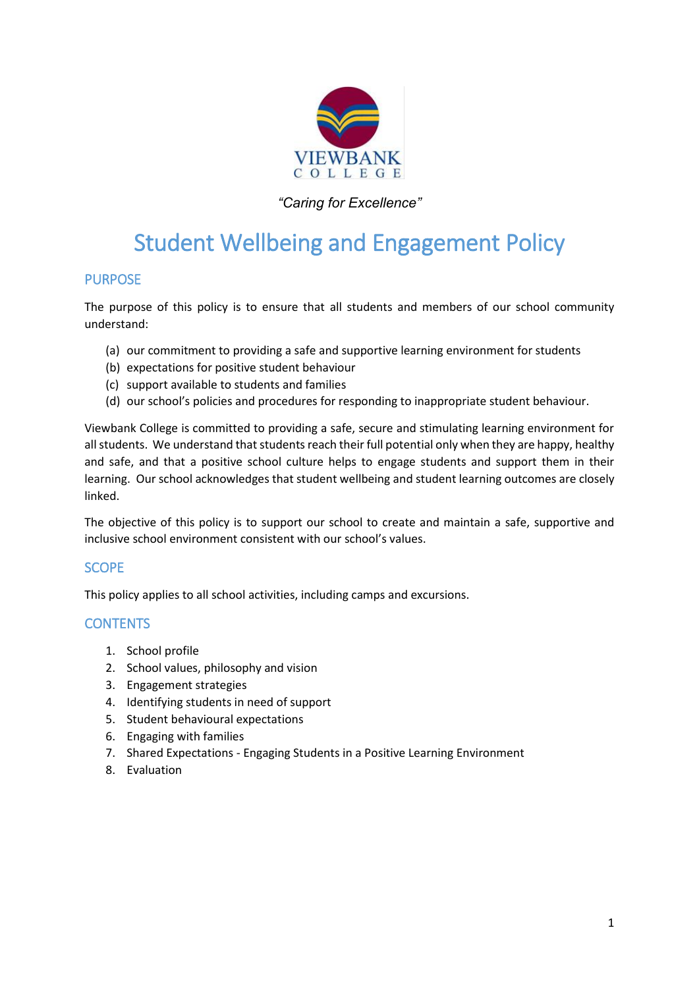

# *"Caring for Excellence"*

# Student Wellbeing and Engagement Policy

#### PURPOSE

The purpose of this policy is to ensure that all students and members of our school community understand:

- (a) our commitment to providing a safe and supportive learning environment for students
- (b) expectations for positive student behaviour
- (c) support available to students and families
- (d) our school's policies and procedures for responding to inappropriate student behaviour.

Viewbank College is committed to providing a safe, secure and stimulating learning environment for all students. We understand that students reach their full potential only when they are happy, healthy and safe, and that a positive school culture helps to engage students and support them in their learning. Our school acknowledges that student wellbeing and student learning outcomes are closely linked.

The objective of this policy is to support our school to create and maintain a safe, supportive and inclusive school environment consistent with our school's values.

#### **SCOPE**

This policy applies to all school activities, including camps and excursions.

#### **CONTENTS**

- 1. School profile
- 2. School values, philosophy and vision
- 3. Engagement strategies
- 4. Identifying students in need of support
- 5. Student behavioural expectations
- 6. Engaging with families
- 7. Shared Expectations Engaging Students in a Positive Learning Environment
- 8. Evaluation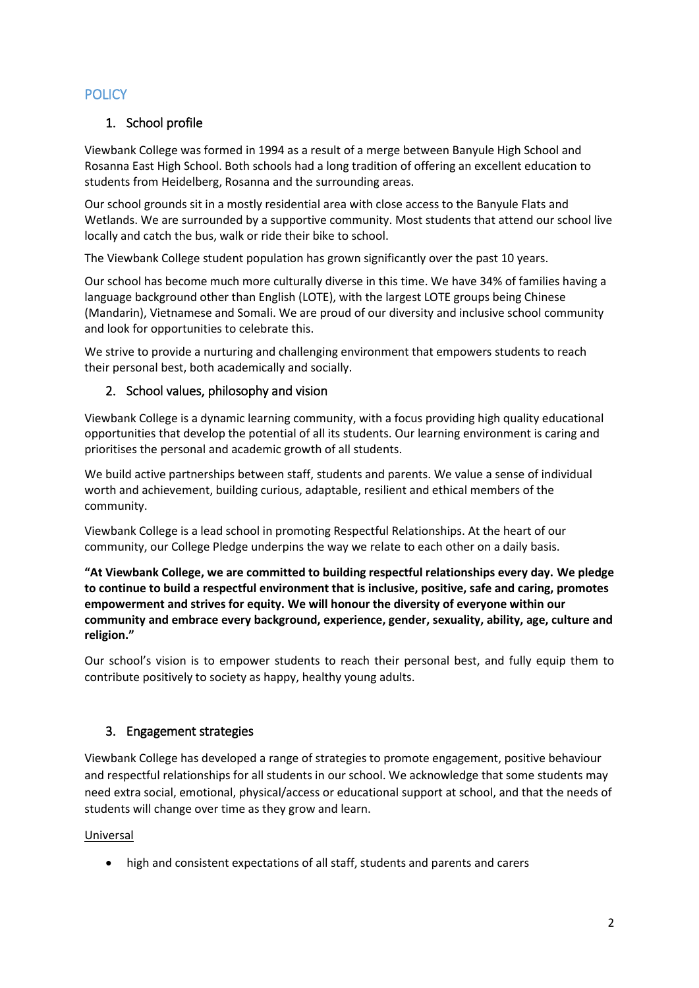# **POLICY**

# 1. School profile

Viewbank College was formed in 1994 as a result of a merge between Banyule High School and Rosanna East High School. Both schools had a long tradition of offering an excellent education to students from Heidelberg, Rosanna and the surrounding areas.

Our school grounds sit in a mostly residential area with close access to the Banyule Flats and Wetlands. We are surrounded by a supportive community. Most students that attend our school live locally and catch the bus, walk or ride their bike to school.

The Viewbank College student population has grown significantly over the past 10 years.

Our school has become much more culturally diverse in this time. We have 34% of families having a language background other than English (LOTE), with the largest LOTE groups being Chinese (Mandarin), Vietnamese and Somali. We are proud of our diversity and inclusive school community and look for opportunities to celebrate this.

We strive to provide a nurturing and challenging environment that empowers students to reach their personal best, both academically and socially.

# 2. School values, philosophy and vision

Viewbank College is a dynamic learning community, with a focus providing high quality educational opportunities that develop the potential of all its students. Our learning environment is caring and prioritises the personal and academic growth of all students.

We build active partnerships between staff, students and parents. We value a sense of individual worth and achievement, building curious, adaptable, resilient and ethical members of the community.

Viewbank College is a lead school in promoting Respectful Relationships. At the heart of our community, our College Pledge underpins the way we relate to each other on a daily basis.

**"At Viewbank College, we are committed to building respectful relationships every day. We pledge to continue to build a respectful environment that is inclusive, positive, safe and caring, promotes empowerment and strives for equity. We will honour the diversity of everyone within our community and embrace every background, experience, gender, sexuality, ability, age, culture and religion."**

Our school's vision is to empower students to reach their personal best, and fully equip them to contribute positively to society as happy, healthy young adults.

#### 3. Engagement strategies

Viewbank College has developed a range of strategies to promote engagement, positive behaviour and respectful relationships for all students in our school. We acknowledge that some students may need extra social, emotional, physical/access or educational support at school, and that the needs of students will change over time as they grow and learn.

#### Universal

high and consistent expectations of all staff, students and parents and carers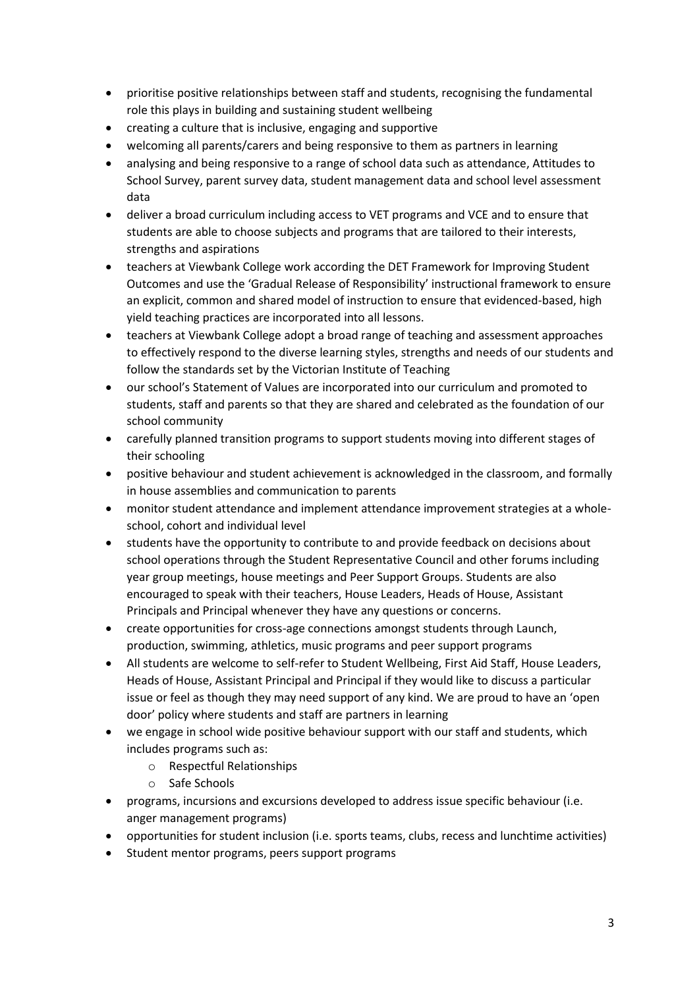- prioritise positive relationships between staff and students, recognising the fundamental role this plays in building and sustaining student wellbeing
- creating a culture that is inclusive, engaging and supportive
- welcoming all parents/carers and being responsive to them as partners in learning
- analysing and being responsive to a range of school data such as attendance, Attitudes to School Survey, parent survey data, student management data and school level assessment data
- deliver a broad curriculum including access to VET programs and VCE and to ensure that students are able to choose subjects and programs that are tailored to their interests, strengths and aspirations
- teachers at Viewbank College work according the DET Framework for Improving Student Outcomes and use the 'Gradual Release of Responsibility' instructional framework to ensure an explicit, common and shared model of instruction to ensure that evidenced-based, high yield teaching practices are incorporated into all lessons.
- teachers at Viewbank College adopt a broad range of teaching and assessment approaches to effectively respond to the diverse learning styles, strengths and needs of our students and follow the standards set by the Victorian Institute of Teaching
- our school's Statement of Values are incorporated into our curriculum and promoted to students, staff and parents so that they are shared and celebrated as the foundation of our school community
- carefully planned transition programs to support students moving into different stages of their schooling
- positive behaviour and student achievement is acknowledged in the classroom, and formally in house assemblies and communication to parents
- monitor student attendance and implement attendance improvement strategies at a wholeschool, cohort and individual level
- students have the opportunity to contribute to and provide feedback on decisions about school operations through the Student Representative Council and other forums including year group meetings, house meetings and Peer Support Groups. Students are also encouraged to speak with their teachers, House Leaders, Heads of House, Assistant Principals and Principal whenever they have any questions or concerns.
- create opportunities for cross-age connections amongst students through Launch, production, swimming, athletics, music programs and peer support programs
- All students are welcome to self-refer to Student Wellbeing, First Aid Staff, House Leaders, Heads of House, Assistant Principal and Principal if they would like to discuss a particular issue or feel as though they may need support of any kind. We are proud to have an 'open door' policy where students and staff are partners in learning
- we engage in school wide positive behaviour support with our staff and students, which includes programs such as:
	- o Respectful Relationships
	- o Safe Schools
- programs, incursions and excursions developed to address issue specific behaviour (i.e. anger management programs)
- opportunities for student inclusion (i.e. sports teams, clubs, recess and lunchtime activities)
- Student mentor programs, peers support programs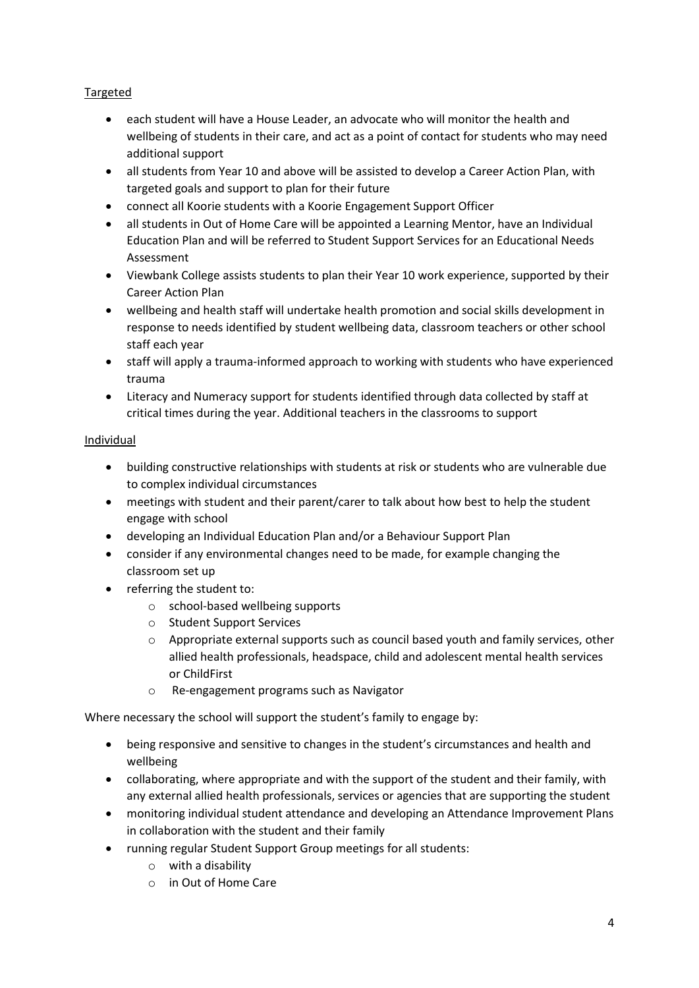#### Targeted

- each student will have a House Leader, an advocate who will monitor the health and wellbeing of students in their care, and act as a point of contact for students who may need additional support
- all students from Year 10 and above will be assisted to develop a Career Action Plan, with targeted goals and support to plan for their future
- connect all Koorie students with a Koorie Engagement Support Officer
- all students in Out of Home Care will be appointed a Learning Mentor, have an Individual Education Plan and will be referred to Student Support Services for an Educational Needs Assessment
- Viewbank College assists students to plan their Year 10 work experience, supported by their Career Action Plan
- wellbeing and health staff will undertake health promotion and social skills development in response to needs identified by student wellbeing data, classroom teachers or other school staff each year
- staff will apply a trauma-informed approach to working with students who have experienced trauma
- Literacy and Numeracy support for students identified through data collected by staff at critical times during the year. Additional teachers in the classrooms to support

#### Individual

- building constructive relationships with students at risk or students who are vulnerable due to complex individual circumstances
- meetings with student and their parent/carer to talk about how best to help the student engage with school
- developing an Individual Education Plan and/or a Behaviour Support Plan
- consider if any environmental changes need to be made, for example changing the classroom set up
- referring the student to:
	- o school-based wellbeing supports
	- o Student Support Services
	- $\circ$  Appropriate external supports such as council based youth and family services, other allied health professionals, headspace, child and adolescent mental health services or ChildFirst
	- o Re-engagement programs such as Navigator

Where necessary the school will support the student's family to engage by:

- being responsive and sensitive to changes in the student's circumstances and health and wellbeing
- collaborating, where appropriate and with the support of the student and their family, with any external allied health professionals, services or agencies that are supporting the student
- monitoring individual student attendance and developing an Attendance Improvement Plans in collaboration with the student and their family
- running regular Student Support Group meetings for all students:
	- o with a disability
	- o in Out of Home Care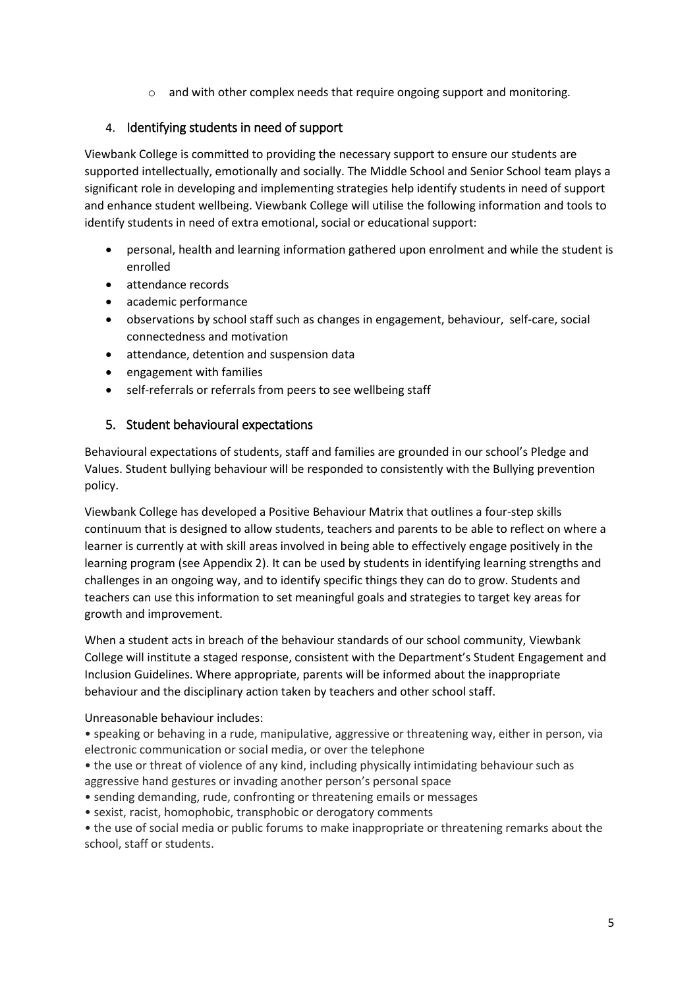o and with other complex needs that require ongoing support and monitoring.

#### 4. Identifying students in need of support

Viewbank College is committed to providing the necessary support to ensure our students are supported intellectually, emotionally and socially. The Middle School and Senior School team plays a significant role in developing and implementing strategies help identify students in need of support and enhance student wellbeing. Viewbank College will utilise the following information and tools to identify students in need of extra emotional, social or educational support:

- personal, health and learning information gathered upon enrolment and while the student is enrolled
- attendance records
- academic performance
- observations by school staff such as changes in engagement, behaviour, self-care, social connectedness and motivation
- attendance, detention and suspension data
- engagement with families
- self-referrals or referrals from peers to see wellbeing staff

#### 5. Student behavioural expectations

Behavioural expectations of students, staff and families are grounded in our school's Pledge and Values. Student bullying behaviour will be responded to consistently with the Bullying prevention policy.

Viewbank College has developed a Positive Behaviour Matrix that outlines a four-step skills continuum that is designed to allow students, teachers and parents to be able to reflect on where a learner is currently at with skill areas involved in being able to effectively engage positively in the learning program (see Appendix 2). It can be used by students in identifying learning strengths and challenges in an ongoing way, and to identify specific things they can do to grow. Students and teachers can use this information to set meaningful goals and strategies to target key areas for growth and improvement.

When a student acts in breach of the behaviour standards of our school community, Viewbank College will institute a staged response, consistent with the Department's Student Engagement and Inclusion Guidelines. Where appropriate, parents will be informed about the inappropriate behaviour and the disciplinary action taken by teachers and other school staff.

Unreasonable behaviour includes:

• speaking or behaving in a rude, manipulative, aggressive or threatening way, either in person, via electronic communication or social media, or over the telephone

- the use or threat of violence of any kind, including physically intimidating behaviour such as aggressive hand gestures or invading another person's personal space
- sending demanding, rude, confronting or threatening emails or messages
- sexist, racist, homophobic, transphobic or derogatory comments

• the use of social media or public forums to make inappropriate or threatening remarks about the school, staff or students.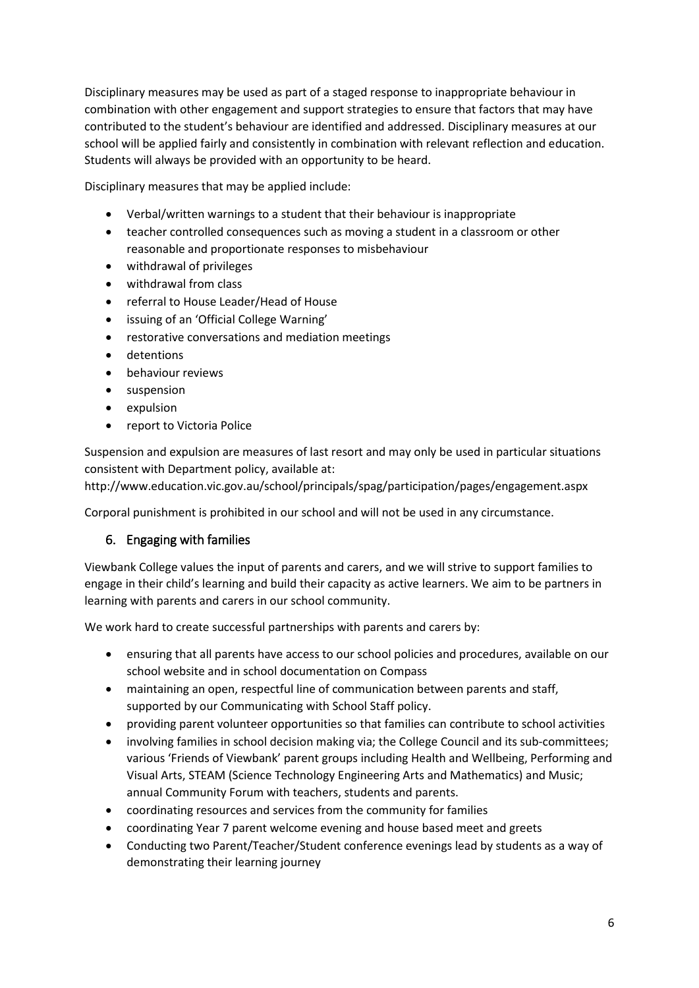Disciplinary measures may be used as part of a staged response to inappropriate behaviour in combination with other engagement and support strategies to ensure that factors that may have contributed to the student's behaviour are identified and addressed. Disciplinary measures at our school will be applied fairly and consistently in combination with relevant reflection and education. Students will always be provided with an opportunity to be heard.

Disciplinary measures that may be applied include:

- Verbal/written warnings to a student that their behaviour is inappropriate
- teacher controlled consequences such as moving a student in a classroom or other reasonable and proportionate responses to misbehaviour
- withdrawal of privileges
- withdrawal from class
- referral to House Leader/Head of House
- issuing of an 'Official College Warning'
- restorative conversations and mediation meetings
- **•** detentions
- **•** behaviour reviews
- **•** suspension
- expulsion
- report to Victoria Police

Suspension and expulsion are measures of last resort and may only be used in particular situations consistent with Department policy, available at:

http://www.education.vic.gov.au/school/principals/spag/participation/pages/engagement.aspx

Corporal punishment is prohibited in our school and will not be used in any circumstance.

#### 6. Engaging with families

Viewbank College values the input of parents and carers, and we will strive to support families to engage in their child's learning and build their capacity as active learners. We aim to be partners in learning with parents and carers in our school community.

We work hard to create successful partnerships with parents and carers by:

- ensuring that all parents have access to our school policies and procedures, available on our school website and in school documentation on Compass
- maintaining an open, respectful line of communication between parents and staff, supported by our Communicating with School Staff policy.
- providing parent volunteer opportunities so that families can contribute to school activities
- involving families in school decision making via; the College Council and its sub-committees; various 'Friends of Viewbank' parent groups including Health and Wellbeing, Performing and Visual Arts, STEAM (Science Technology Engineering Arts and Mathematics) and Music; annual Community Forum with teachers, students and parents.
- coordinating resources and services from the community for families
- coordinating Year 7 parent welcome evening and house based meet and greets
- Conducting two Parent/Teacher/Student conference evenings lead by students as a way of demonstrating their learning journey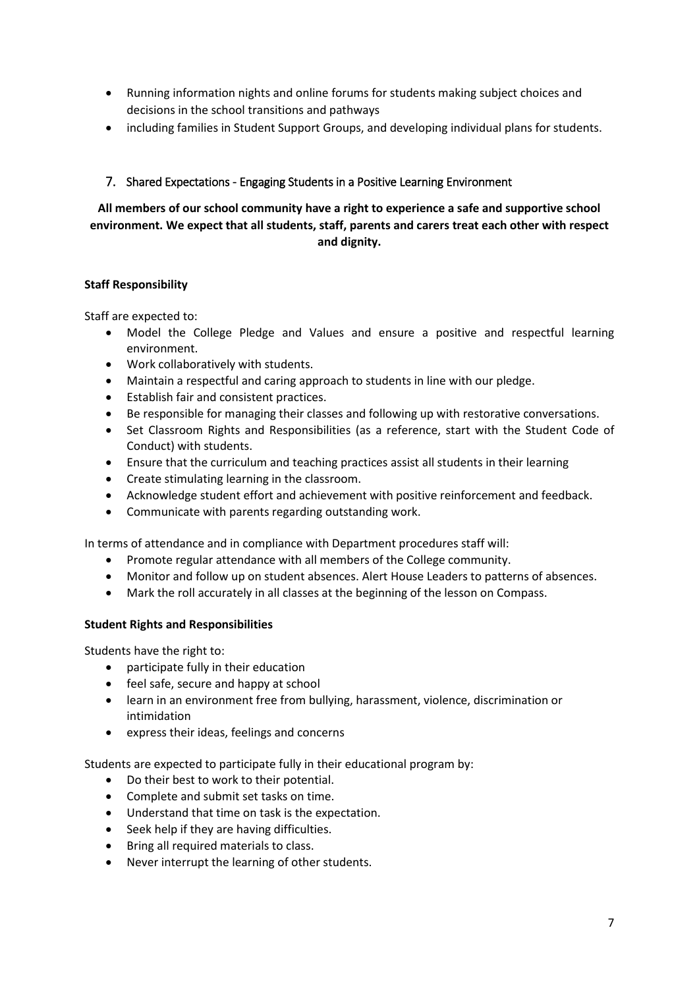- Running information nights and online forums for students making subject choices and decisions in the school transitions and pathways
- including families in Student Support Groups, and developing individual plans for students.

#### 7. Shared Expectations - Engaging Students in a Positive Learning Environment

#### **All members of our school community have a right to experience a safe and supportive school environment. We expect that all students, staff, parents and carers treat each other with respect and dignity.**

#### **Staff Responsibility**

Staff are expected to:

- Model the College Pledge and Values and ensure a positive and respectful learning environment.
- Work collaboratively with students.
- Maintain a respectful and caring approach to students in line with our pledge.
- Establish fair and consistent practices.
- Be responsible for managing their classes and following up with restorative conversations.
- Set Classroom Rights and Responsibilities (as a reference, start with the Student Code of Conduct) with students.
- Ensure that the curriculum and teaching practices assist all students in their learning
- Create stimulating learning in the classroom.
- Acknowledge student effort and achievement with positive reinforcement and feedback.
- Communicate with parents regarding outstanding work.

In terms of attendance and in compliance with Department procedures staff will:

- Promote regular attendance with all members of the College community.
- Monitor and follow up on student absences. Alert House Leaders to patterns of absences.
- Mark the roll accurately in all classes at the beginning of the lesson on Compass.

#### **Student Rights and Responsibilities**

Students have the right to:

- participate fully in their education
- feel safe, secure and happy at school
- learn in an environment free from bullying, harassment, violence, discrimination or intimidation
- express their ideas, feelings and concerns

Students are expected to participate fully in their educational program by:

- Do their best to work to their potential.
- Complete and submit set tasks on time.
- Understand that time on task is the expectation.
- Seek help if they are having difficulties.
- Bring all required materials to class.
- Never interrupt the learning of other students.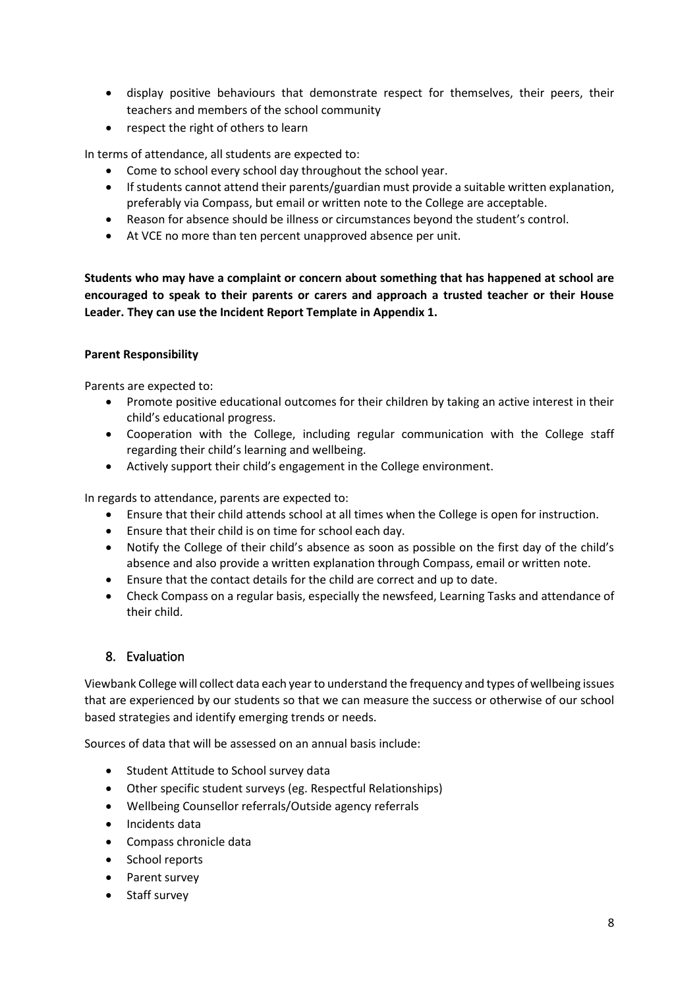- display positive behaviours that demonstrate respect for themselves, their peers, their teachers and members of the school community
- respect the right of others to learn

In terms of attendance, all students are expected to:

- Come to school every school day throughout the school year.
- If students cannot attend their parents/guardian must provide a suitable written explanation, preferably via Compass, but email or written note to the College are acceptable.
- Reason for absence should be illness or circumstances beyond the student's control.
- At VCE no more than ten percent unapproved absence per unit.

**Students who may have a complaint or concern about something that has happened at school are encouraged to speak to their parents or carers and approach a trusted teacher or their House Leader. They can use the Incident Report Template in Appendix 1.**

#### **Parent Responsibility**

Parents are expected to:

- Promote positive educational outcomes for their children by taking an active interest in their child's educational progress.
- Cooperation with the College, including regular communication with the College staff regarding their child's learning and wellbeing.
- Actively support their child's engagement in the College environment.

In regards to attendance, parents are expected to:

- Ensure that their child attends school at all times when the College is open for instruction.
- Ensure that their child is on time for school each day.
- Notify the College of their child's absence as soon as possible on the first day of the child's absence and also provide a written explanation through Compass, email or written note.
- Ensure that the contact details for the child are correct and up to date.
- Check Compass on a regular basis, especially the newsfeed, Learning Tasks and attendance of their child.

#### 8. Evaluation

Viewbank College will collect data each year to understand the frequency and types of wellbeing issues that are experienced by our students so that we can measure the success or otherwise of our school based strategies and identify emerging trends or needs.

Sources of data that will be assessed on an annual basis include:

- **•** Student Attitude to School survey data
- Other specific student surveys (eg. Respectful Relationships)
- Wellbeing Counsellor referrals/Outside agency referrals
- Incidents data
- Compass chronicle data
- School reports
- Parent survey
- Staff survey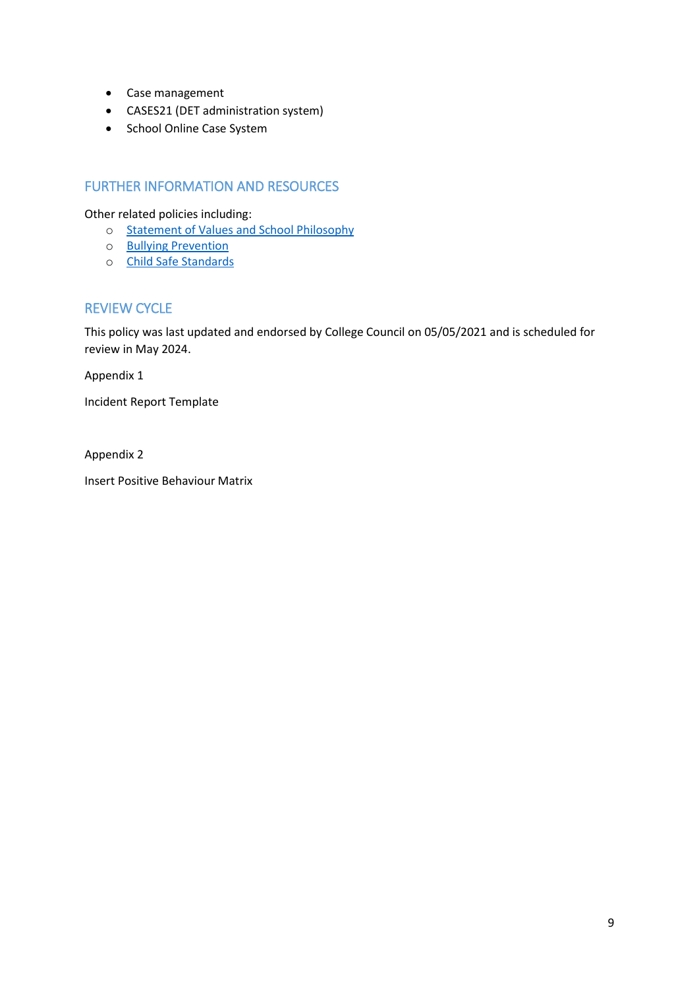- Case management
- CASES21 (DET administration system)
- School Online Case System

### FURTHER INFORMATION AND RESOURCES

Other related policies including:

- o Statement of Values [and School Philosophy](https://www.viewbank.vic.edu.au/wp-content/uploads/2021/05/Statement-of-Values-and-School-Philosophy.pdf)
- o Bullying [Prevention](https://www.viewbank.vic.edu.au/wp-content/uploads/2021/05/Bullying-Prevention.pdf)
- o [Child Safe Standards](https://www2.education.vic.gov.au/pal/child-safe-standards/policy)

# REVIEW CYCLE

This policy was last updated and endorsed by College Council on 05/05/2021 and is scheduled for review in May 2024.

Appendix 1

Incident Report Template

Appendix 2

Insert Positive Behaviour Matrix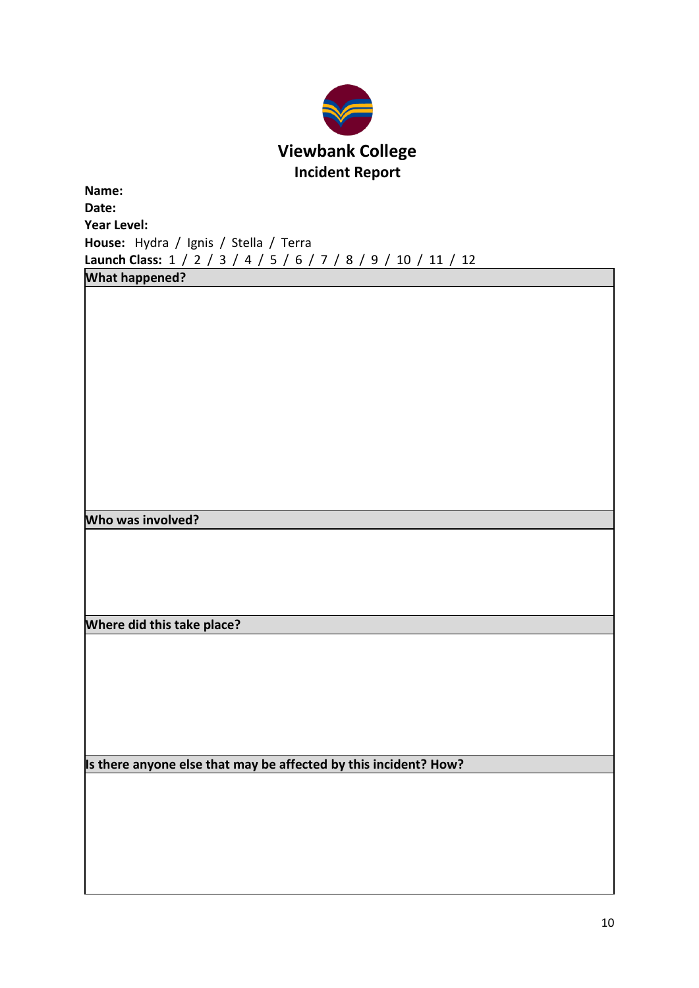

| Name:       |                                                                |  |  |  |  |  |  |  |
|-------------|----------------------------------------------------------------|--|--|--|--|--|--|--|
| Date:       |                                                                |  |  |  |  |  |  |  |
| Year Level: |                                                                |  |  |  |  |  |  |  |
|             | House: Hydra / Ignis / Stella / Terra                          |  |  |  |  |  |  |  |
|             | Launch Class: 1 / 2 / 3 / 4 / 5 / 6 / 7 / 8 / 9 / 10 / 11 / 12 |  |  |  |  |  |  |  |
|             |                                                                |  |  |  |  |  |  |  |

**What happened?**

**Who was involved?**

**Where did this take place?**

**Is there anyone else that may be affected by this incident? How?**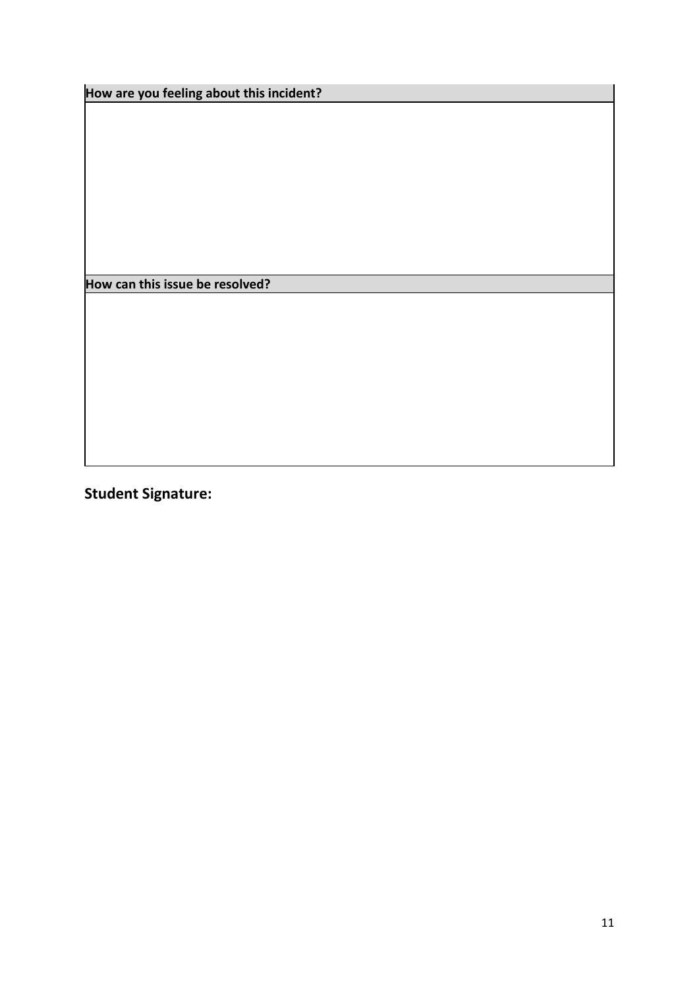**How are you feeling about this incident?**

**How can this issue be resolved?**

**Student Signature:**